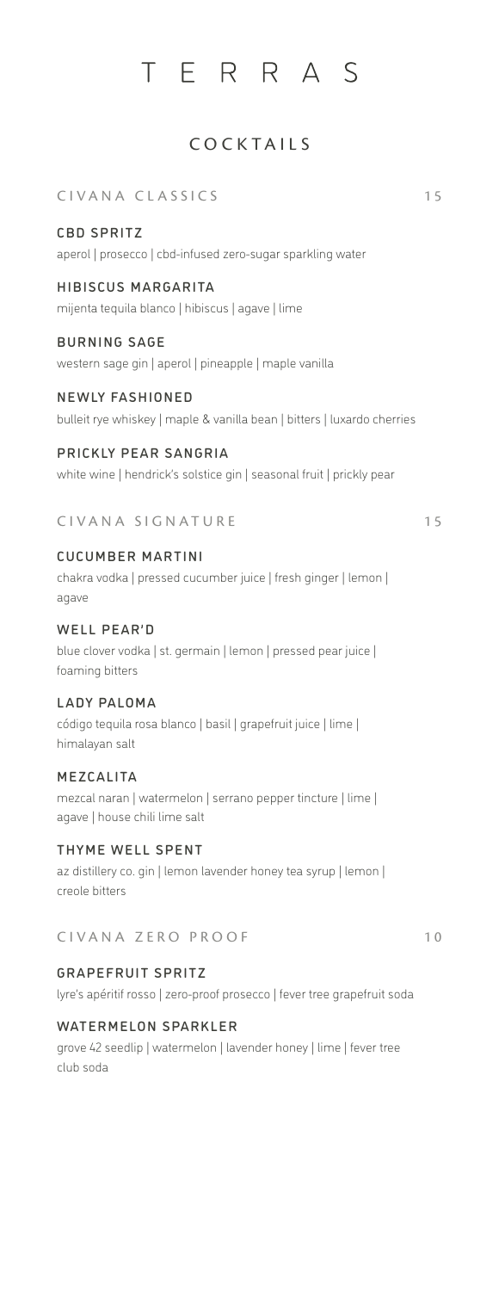# TERRAS

# COCKTAILS

CIVANA CLASSICS 15

#### CBD SPRITZ

aperol | prosecco | cbd-infused zero-sugar sparkling water

## HIBISCUS MARGARITA

mijenta tequila blanco | hibiscus | agave | lime

### BURNING SAGE

western sage gin | aperol | pineapple | maple vanilla

#### NEWLY FASHIONED

bulleit rye whiskey | maple & vanilla bean | bitters | luxardo cherries

#### PRICKLY PEAR SANGRIA

white wine | hendrick's solstice gin | seasonal fruit | prickly pear

#### CIVANA SIGNATURE 15

# CUCUMBER MARTINI

chakra vodka | pressed cucumber juice | fresh ginger | lemon | agave

#### WELL PEAR'D

blue clover vodka | st. germain | lemon | pressed pear juice | foaming bitters

## LADY PALOMA

código tequila rosa blanco | basil | grapefruit juice | lime | himalayan salt

#### MEZCALITA

mezcal naran | watermelon | serrano pepper tincture | lime | agave | house chili lime salt

#### THYME WELL SPENT

az distillery co. gin | lemon lavender honey tea syrup | lemon | creole bitters

### CIVANA ZERO PROOF 10

#### GRAPEFRUIT SPRITZ

lyre's apéritif rosso | zero-proof prosecco | fever tree grapefruit soda

#### WATERMELON SPARKLER

grove 42 seedlip | watermelon | lavender honey | lime | fever tree club soda